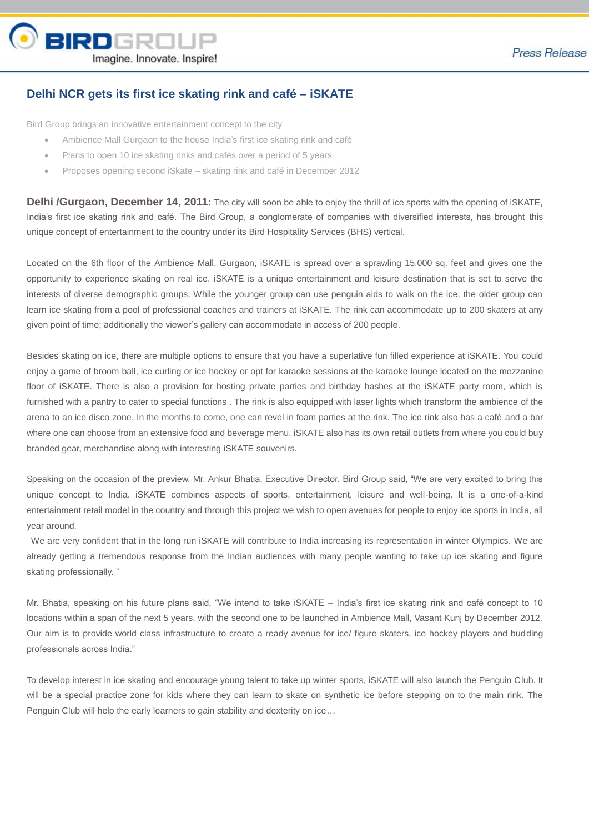

## **Delhi NCR gets its first ice skating rink and café – iSKATE**

Bird Group brings an innovative entertainment concept to the city

- Ambience Mall Gurgaon to the house India's first ice skating rink and café
- Plans to open 10 ice skating rinks and cafés over a period of 5 years
- Proposes opening second iSkate skating rink and café in December 2012

**Delhi /Gurgaon, December 14, 2011:** The city will soon be able to enjoy the thrill of ice sports with the opening of iSKATE, India's first ice skating rink and café. The Bird Group, a conglomerate of companies with diversified interests, has brought this unique concept of entertainment to the country under its Bird Hospitality Services (BHS) vertical.

Located on the 6th floor of the Ambience Mall, Gurgaon, iSKATE is spread over a sprawling 15,000 sq. feet and gives one the opportunity to experience skating on real ice. iSKATE is a unique entertainment and leisure destination that is set to serve the interests of diverse demographic groups. While the younger group can use penguin aids to walk on the ice, the older group can learn ice skating from a pool of professional coaches and trainers at iSKATE. The rink can accommodate up to 200 skaters at any given point of time; additionally the viewer's gallery can accommodate in access of 200 people.

Besides skating on ice, there are multiple options to ensure that you have a superlative fun filled experience at iSKATE. You could enjoy a game of broom ball, ice curling or ice hockey or opt for karaoke sessions at the karaoke lounge located on the mezzanine floor of iSKATE. There is also a provision for hosting private parties and birthday bashes at the iSKATE party room, which is furnished with a pantry to cater to special functions . The rink is also equipped with laser lights which transform the ambience of the arena to an ice disco zone. In the months to come, one can revel in foam parties at the rink. The ice rink also has a café and a bar where one can choose from an extensive food and beverage menu. iSKATE also has its own retail outlets from where you could buy branded gear, merchandise along with interesting iSKATE souvenirs.

Speaking on the occasion of the preview, Mr. Ankur Bhatia, Executive Director, Bird Group said, "We are very excited to bring this unique concept to India. iSKATE combines aspects of sports, entertainment, leisure and well-being. It is a one-of-a-kind entertainment retail model in the country and through this project we wish to open avenues for people to enjoy ice sports in India, all year around.

We are very confident that in the long run iSKATE will contribute to India increasing its representation in winter Olympics. We are already getting a tremendous response from the Indian audiences with many people wanting to take up ice skating and figure skating professionally. "

Mr. Bhatia, speaking on his future plans said, "We intend to take iSKATE – India's first ice skating rink and café concept to 10 locations within a span of the next 5 years, with the second one to be launched in Ambience Mall, Vasant Kunj by December 2012. Our aim is to provide world class infrastructure to create a ready avenue for ice/ figure skaters, ice hockey players and budding professionals across India."

To develop interest in ice skating and encourage young talent to take up winter sports, iSKATE will also launch the Penguin Club. It will be a special practice zone for kids where they can learn to skate on synthetic ice before stepping on to the main rink. The Penguin Club will help the early learners to gain stability and dexterity on ice…